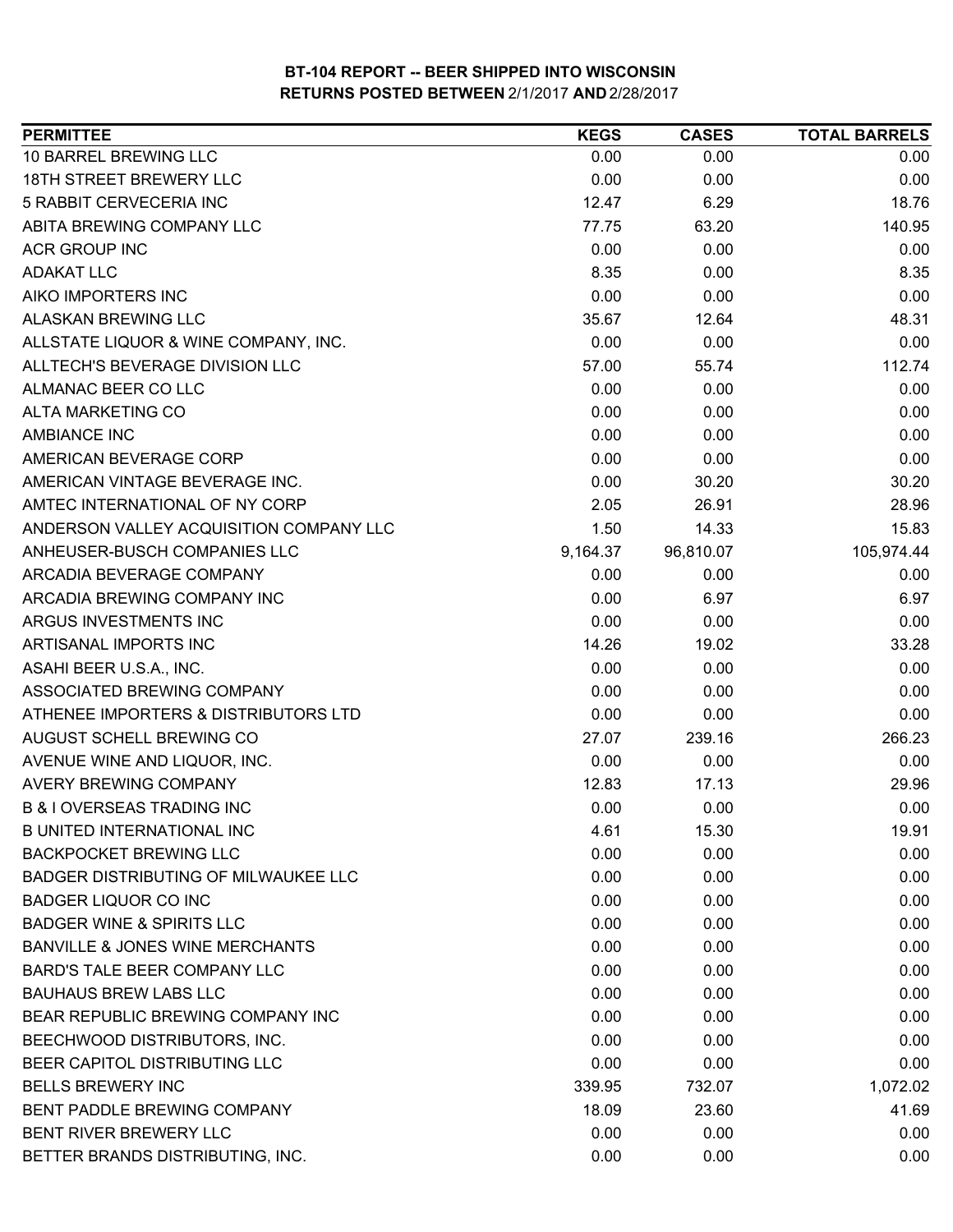| <b>PERMITTEE</b>                           | <b>KEGS</b> | <b>CASES</b> | <b>TOTAL BARRELS</b> |
|--------------------------------------------|-------------|--------------|----------------------|
| 10 BARREL BREWING LLC                      | 0.00        | 0.00         | 0.00                 |
| 18TH STREET BREWERY LLC                    | 0.00        | 0.00         | 0.00                 |
| 5 RABBIT CERVECERIA INC                    | 12.47       | 6.29         | 18.76                |
| ABITA BREWING COMPANY LLC                  | 77.75       | 63.20        | 140.95               |
| <b>ACR GROUP INC</b>                       | 0.00        | 0.00         | 0.00                 |
| <b>ADAKAT LLC</b>                          | 8.35        | 0.00         | 8.35                 |
| AIKO IMPORTERS INC                         | 0.00        | 0.00         | 0.00                 |
| <b>ALASKAN BREWING LLC</b>                 | 35.67       | 12.64        | 48.31                |
| ALLSTATE LIQUOR & WINE COMPANY, INC.       | 0.00        | 0.00         | 0.00                 |
| ALLTECH'S BEVERAGE DIVISION LLC            | 57.00       | 55.74        | 112.74               |
| ALMANAC BEER CO LLC                        | 0.00        | 0.00         | 0.00                 |
| <b>ALTA MARKETING CO</b>                   | 0.00        | 0.00         | 0.00                 |
| <b>AMBIANCE INC</b>                        | 0.00        | 0.00         | 0.00                 |
| AMERICAN BEVERAGE CORP                     | 0.00        | 0.00         | 0.00                 |
| AMERICAN VINTAGE BEVERAGE INC.             | 0.00        | 30.20        | 30.20                |
| AMTEC INTERNATIONAL OF NY CORP             | 2.05        | 26.91        | 28.96                |
| ANDERSON VALLEY ACQUISITION COMPANY LLC    | 1.50        | 14.33        | 15.83                |
| ANHEUSER-BUSCH COMPANIES LLC               | 9,164.37    | 96,810.07    | 105,974.44           |
| ARCADIA BEVERAGE COMPANY                   | 0.00        | 0.00         | 0.00                 |
| ARCADIA BREWING COMPANY INC                | 0.00        | 6.97         | 6.97                 |
| ARGUS INVESTMENTS INC                      | 0.00        | 0.00         | 0.00                 |
| ARTISANAL IMPORTS INC                      | 14.26       | 19.02        | 33.28                |
| ASAHI BEER U.S.A., INC.                    | 0.00        | 0.00         | 0.00                 |
| ASSOCIATED BREWING COMPANY                 | 0.00        | 0.00         | 0.00                 |
| ATHENEE IMPORTERS & DISTRIBUTORS LTD       | 0.00        | 0.00         | 0.00                 |
| AUGUST SCHELL BREWING CO                   | 27.07       | 239.16       | 266.23               |
| AVENUE WINE AND LIQUOR, INC.               | 0.00        | 0.00         | 0.00                 |
| <b>AVERY BREWING COMPANY</b>               | 12.83       | 17.13        | 29.96                |
| <b>B &amp; I OVERSEAS TRADING INC</b>      | 0.00        | 0.00         | 0.00                 |
| <b>B UNITED INTERNATIONAL INC</b>          | 4.61        | 15.30        | 19.91                |
| <b>BACKPOCKET BREWING LLC</b>              | 0.00        | 0.00         | 0.00                 |
| BADGER DISTRIBUTING OF MILWAUKEE LLC       | 0.00        | 0.00         | 0.00                 |
| <b>BADGER LIQUOR CO INC</b>                | 0.00        | 0.00         | 0.00                 |
| <b>BADGER WINE &amp; SPIRITS LLC</b>       | 0.00        | 0.00         | 0.00                 |
| <b>BANVILLE &amp; JONES WINE MERCHANTS</b> | 0.00        | 0.00         | 0.00                 |
| BARD'S TALE BEER COMPANY LLC               | 0.00        | 0.00         | 0.00                 |
| <b>BAUHAUS BREW LABS LLC</b>               | 0.00        | 0.00         | 0.00                 |
| BEAR REPUBLIC BREWING COMPANY INC          | 0.00        | 0.00         | 0.00                 |
| BEECHWOOD DISTRIBUTORS, INC.               | 0.00        | 0.00         | 0.00                 |
| BEER CAPITOL DISTRIBUTING LLC              | 0.00        | 0.00         | 0.00                 |
| <b>BELLS BREWERY INC</b>                   | 339.95      | 732.07       | 1,072.02             |
| BENT PADDLE BREWING COMPANY                | 18.09       | 23.60        | 41.69                |
| BENT RIVER BREWERY LLC                     | 0.00        | 0.00         | 0.00                 |
| BETTER BRANDS DISTRIBUTING, INC.           | 0.00        | 0.00         | 0.00                 |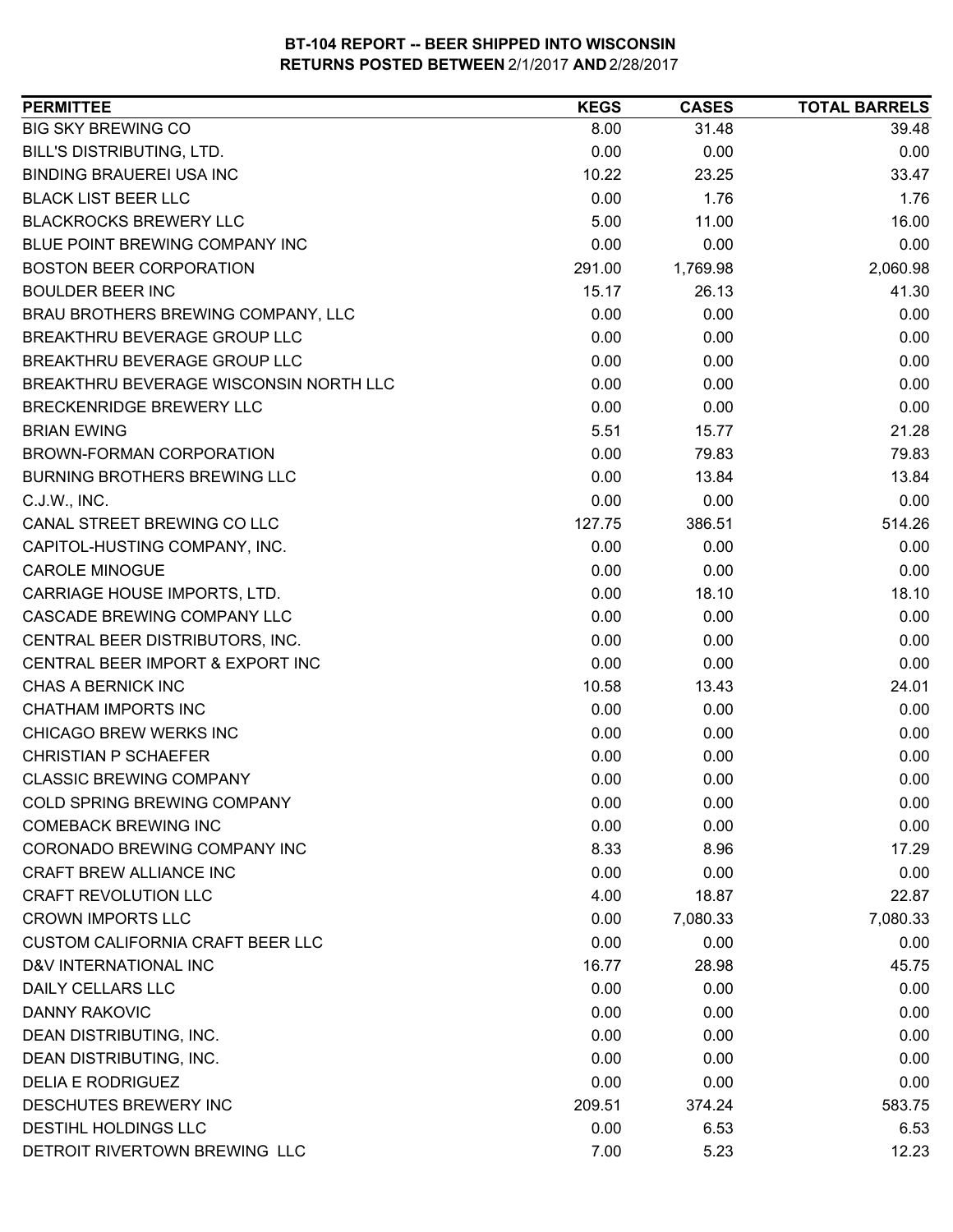| <b>PERMITTEE</b>                        | <b>KEGS</b> | <b>CASES</b> | <b>TOTAL BARRELS</b> |
|-----------------------------------------|-------------|--------------|----------------------|
| <b>BIG SKY BREWING CO</b>               | 8.00        | 31.48        | 39.48                |
| BILL'S DISTRIBUTING, LTD.               | 0.00        | 0.00         | 0.00                 |
| <b>BINDING BRAUEREI USA INC</b>         | 10.22       | 23.25        | 33.47                |
| <b>BLACK LIST BEER LLC</b>              | 0.00        | 1.76         | 1.76                 |
| <b>BLACKROCKS BREWERY LLC</b>           | 5.00        | 11.00        | 16.00                |
| BLUE POINT BREWING COMPANY INC          | 0.00        | 0.00         | 0.00                 |
| <b>BOSTON BEER CORPORATION</b>          | 291.00      | 1,769.98     | 2,060.98             |
| <b>BOULDER BEER INC</b>                 | 15.17       | 26.13        | 41.30                |
| BRAU BROTHERS BREWING COMPANY, LLC      | 0.00        | 0.00         | 0.00                 |
| BREAKTHRU BEVERAGE GROUP LLC            | 0.00        | 0.00         | 0.00                 |
| BREAKTHRU BEVERAGE GROUP LLC            | 0.00        | 0.00         | 0.00                 |
| BREAKTHRU BEVERAGE WISCONSIN NORTH LLC  | 0.00        | 0.00         | 0.00                 |
| <b>BRECKENRIDGE BREWERY LLC</b>         | 0.00        | 0.00         | 0.00                 |
| <b>BRIAN EWING</b>                      | 5.51        | 15.77        | 21.28                |
| BROWN-FORMAN CORPORATION                | 0.00        | 79.83        | 79.83                |
| <b>BURNING BROTHERS BREWING LLC</b>     | 0.00        | 13.84        | 13.84                |
| C.J.W., INC.                            | 0.00        | 0.00         | 0.00                 |
| CANAL STREET BREWING CO LLC             | 127.75      | 386.51       | 514.26               |
| CAPITOL-HUSTING COMPANY, INC.           | 0.00        | 0.00         | 0.00                 |
| <b>CAROLE MINOGUE</b>                   | 0.00        | 0.00         | 0.00                 |
| CARRIAGE HOUSE IMPORTS, LTD.            | 0.00        | 18.10        | 18.10                |
| CASCADE BREWING COMPANY LLC             | 0.00        | 0.00         | 0.00                 |
| CENTRAL BEER DISTRIBUTORS, INC.         | 0.00        | 0.00         | 0.00                 |
| CENTRAL BEER IMPORT & EXPORT INC        | 0.00        | 0.00         | 0.00                 |
| CHAS A BERNICK INC                      | 10.58       | 13.43        | 24.01                |
| <b>CHATHAM IMPORTS INC</b>              | 0.00        | 0.00         | 0.00                 |
| <b>CHICAGO BREW WERKS INC</b>           | 0.00        | 0.00         | 0.00                 |
| <b>CHRISTIAN P SCHAEFER</b>             | 0.00        | 0.00         | 0.00                 |
| <b>CLASSIC BREWING COMPANY</b>          | 0.00        | 0.00         | 0.00                 |
| COLD SPRING BREWING COMPANY             | 0.00        | 0.00         | 0.00                 |
| <b>COMEBACK BREWING INC</b>             | 0.00        | 0.00         | 0.00                 |
| CORONADO BREWING COMPANY INC            | 8.33        | 8.96         | 17.29                |
| CRAFT BREW ALLIANCE INC                 | 0.00        | 0.00         | 0.00                 |
| <b>CRAFT REVOLUTION LLC</b>             | 4.00        | 18.87        | 22.87                |
| <b>CROWN IMPORTS LLC</b>                | 0.00        | 7,080.33     | 7,080.33             |
| <b>CUSTOM CALIFORNIA CRAFT BEER LLC</b> | 0.00        | 0.00         | 0.00                 |
| D&V INTERNATIONAL INC                   | 16.77       | 28.98        | 45.75                |
| DAILY CELLARS LLC                       | 0.00        | 0.00         | 0.00                 |
| <b>DANNY RAKOVIC</b>                    | 0.00        | 0.00         | 0.00                 |
| DEAN DISTRIBUTING, INC.                 | 0.00        | 0.00         | 0.00                 |
| DEAN DISTRIBUTING, INC.                 | 0.00        | 0.00         | 0.00                 |
| <b>DELIA E RODRIGUEZ</b>                | 0.00        | 0.00         | 0.00                 |
| DESCHUTES BREWERY INC                   | 209.51      | 374.24       | 583.75               |
| DESTIHL HOLDINGS LLC                    | 0.00        | 6.53         | 6.53                 |
| DETROIT RIVERTOWN BREWING LLC           | 7.00        | 5.23         | 12.23                |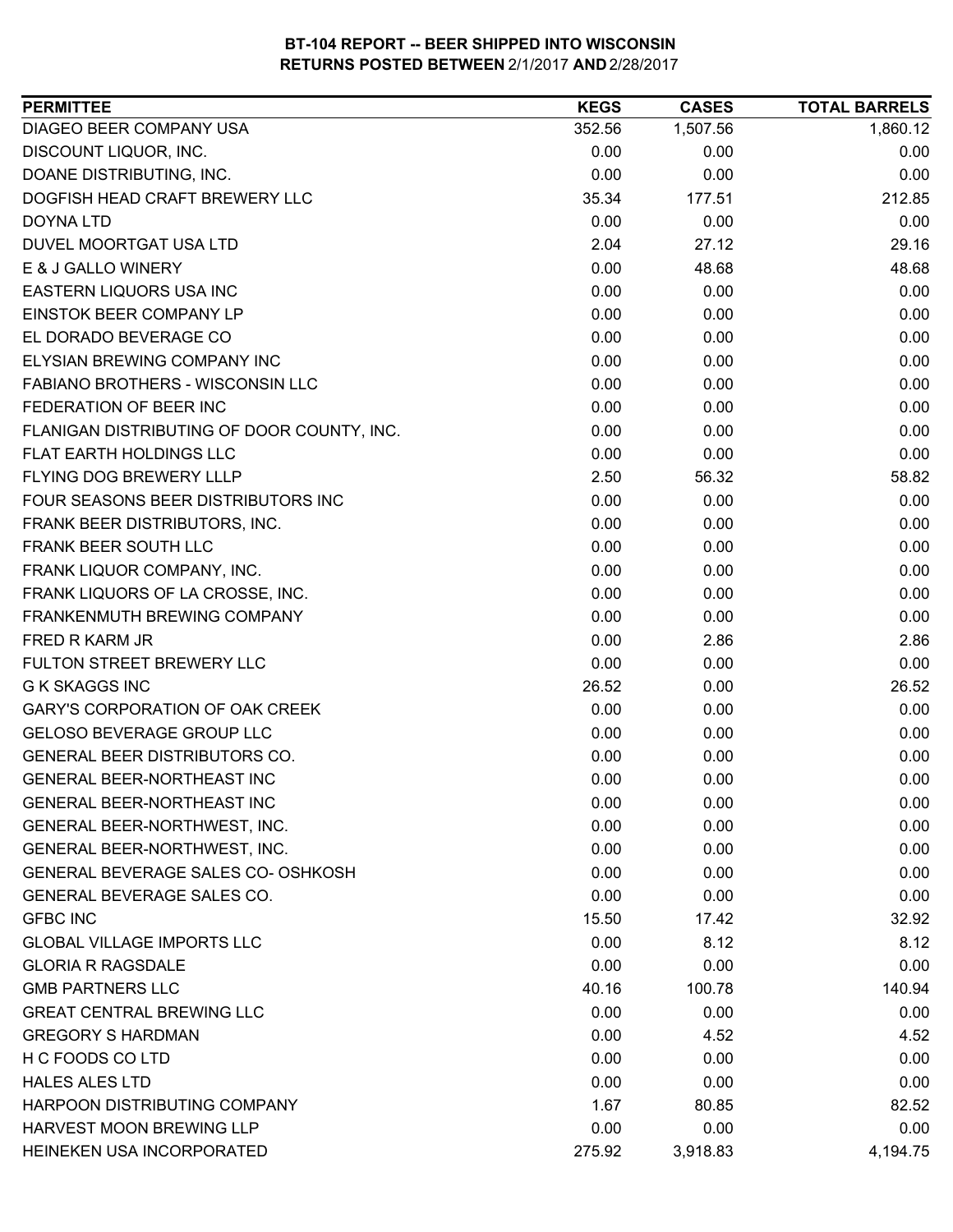| <b>PERMITTEE</b>                           | <b>KEGS</b> | <b>CASES</b> | <b>TOTAL BARRELS</b> |
|--------------------------------------------|-------------|--------------|----------------------|
| DIAGEO BEER COMPANY USA                    | 352.56      | 1,507.56     | 1,860.12             |
| DISCOUNT LIQUOR, INC.                      | 0.00        | 0.00         | 0.00                 |
| DOANE DISTRIBUTING, INC.                   | 0.00        | 0.00         | 0.00                 |
| DOGFISH HEAD CRAFT BREWERY LLC             | 35.34       | 177.51       | 212.85               |
| DOYNA LTD                                  | 0.00        | 0.00         | 0.00                 |
| DUVEL MOORTGAT USA LTD                     | 2.04        | 27.12        | 29.16                |
| E & J GALLO WINERY                         | 0.00        | 48.68        | 48.68                |
| <b>EASTERN LIQUORS USA INC</b>             | 0.00        | 0.00         | 0.00                 |
| <b>EINSTOK BEER COMPANY LP</b>             | 0.00        | 0.00         | 0.00                 |
| EL DORADO BEVERAGE CO                      | 0.00        | 0.00         | 0.00                 |
| ELYSIAN BREWING COMPANY INC                | 0.00        | 0.00         | 0.00                 |
| FABIANO BROTHERS - WISCONSIN LLC           | 0.00        | 0.00         | 0.00                 |
| FEDERATION OF BEER INC                     | 0.00        | 0.00         | 0.00                 |
| FLANIGAN DISTRIBUTING OF DOOR COUNTY, INC. | 0.00        | 0.00         | 0.00                 |
| <b>FLAT EARTH HOLDINGS LLC</b>             | 0.00        | 0.00         | 0.00                 |
| FLYING DOG BREWERY LLLP                    | 2.50        | 56.32        | 58.82                |
| FOUR SEASONS BEER DISTRIBUTORS INC         | 0.00        | 0.00         | 0.00                 |
| FRANK BEER DISTRIBUTORS, INC.              | 0.00        | 0.00         | 0.00                 |
| FRANK BEER SOUTH LLC                       | 0.00        | 0.00         | 0.00                 |
| FRANK LIQUOR COMPANY, INC.                 | 0.00        | 0.00         | 0.00                 |
| FRANK LIQUORS OF LA CROSSE, INC.           | 0.00        | 0.00         | 0.00                 |
| FRANKENMUTH BREWING COMPANY                | 0.00        | 0.00         | 0.00                 |
| FRED R KARM JR                             | 0.00        | 2.86         | 2.86                 |
| FULTON STREET BREWERY LLC                  | 0.00        | 0.00         | 0.00                 |
| <b>G K SKAGGS INC</b>                      | 26.52       | 0.00         | 26.52                |
| <b>GARY'S CORPORATION OF OAK CREEK</b>     | 0.00        | 0.00         | 0.00                 |
| GELOSO BEVERAGE GROUP LLC                  | 0.00        | 0.00         | 0.00                 |
| GENERAL BEER DISTRIBUTORS CO.              | 0.00        | 0.00         | 0.00                 |
| <b>GENERAL BEER-NORTHEAST INC</b>          | 0.00        | 0.00         | 0.00                 |
| GENERAL BEER-NORTHEAST INC                 | 0.00        | 0.00         | 0.00                 |
| GENERAL BEER-NORTHWEST, INC.               | 0.00        | 0.00         | 0.00                 |
| GENERAL BEER-NORTHWEST, INC.               | 0.00        | 0.00         | 0.00                 |
| GENERAL BEVERAGE SALES CO- OSHKOSH         | 0.00        | 0.00         | 0.00                 |
| <b>GENERAL BEVERAGE SALES CO.</b>          | 0.00        | 0.00         | 0.00                 |
| <b>GFBC INC</b>                            | 15.50       | 17.42        | 32.92                |
| <b>GLOBAL VILLAGE IMPORTS LLC</b>          | 0.00        | 8.12         | 8.12                 |
| <b>GLORIA R RAGSDALE</b>                   | 0.00        | 0.00         | 0.00                 |
| <b>GMB PARTNERS LLC</b>                    | 40.16       | 100.78       | 140.94               |
| <b>GREAT CENTRAL BREWING LLC</b>           | 0.00        | 0.00         | 0.00                 |
| <b>GREGORY S HARDMAN</b>                   | 0.00        | 4.52         | 4.52                 |
| H C FOODS CO LTD                           | 0.00        | 0.00         | 0.00                 |
| <b>HALES ALES LTD</b>                      | 0.00        | 0.00         | 0.00                 |
| HARPOON DISTRIBUTING COMPANY               | 1.67        | 80.85        | 82.52                |
| HARVEST MOON BREWING LLP                   | 0.00        | 0.00         | 0.00                 |
| HEINEKEN USA INCORPORATED                  | 275.92      | 3,918.83     | 4,194.75             |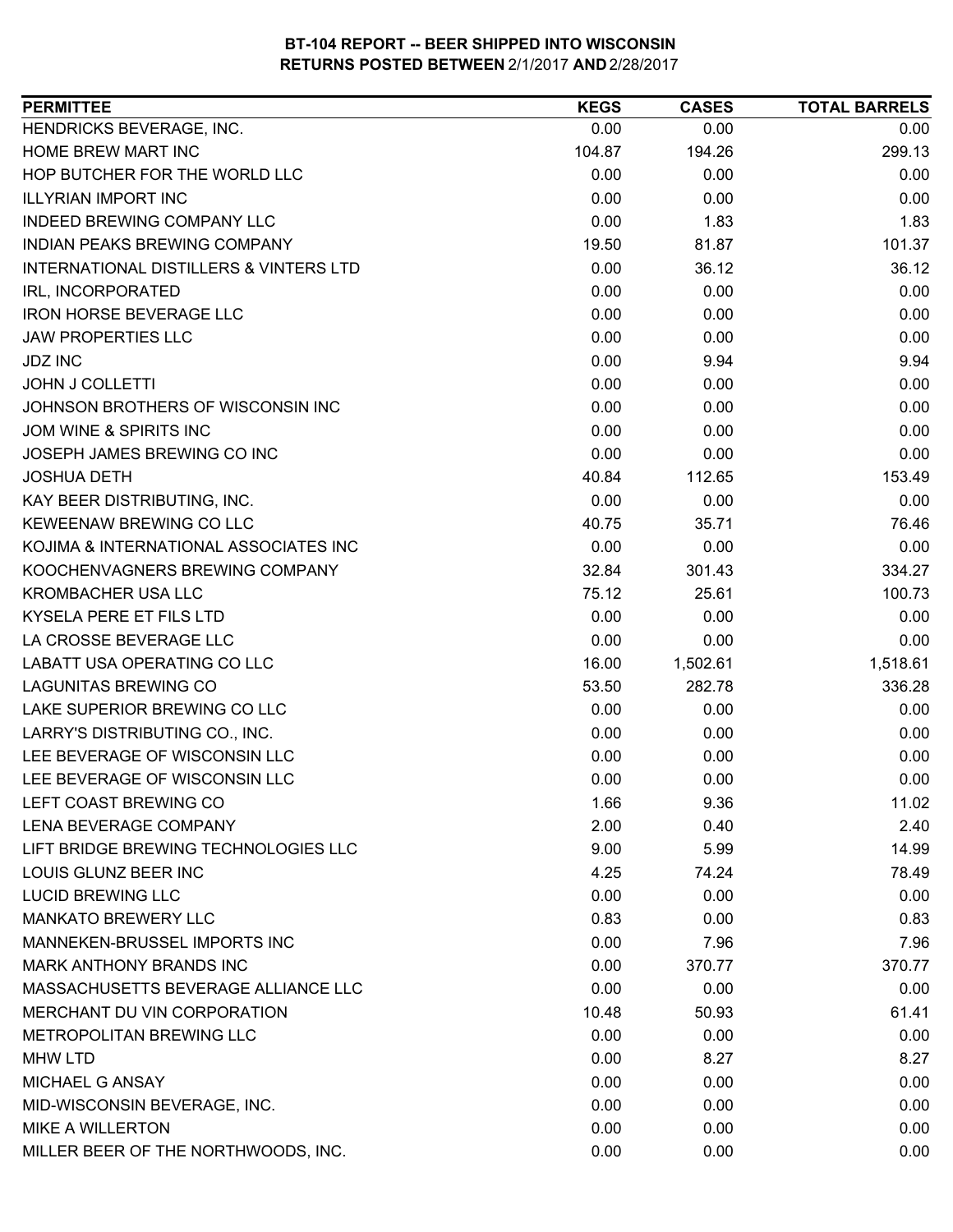| <b>PERMITTEE</b>                       | <b>KEGS</b> | <b>CASES</b> | <b>TOTAL BARRELS</b> |
|----------------------------------------|-------------|--------------|----------------------|
| HENDRICKS BEVERAGE, INC.               | 0.00        | 0.00         | 0.00                 |
| HOME BREW MART INC                     | 104.87      | 194.26       | 299.13               |
| HOP BUTCHER FOR THE WORLD LLC          | 0.00        | 0.00         | 0.00                 |
| <b>ILLYRIAN IMPORT INC</b>             | 0.00        | 0.00         | 0.00                 |
| INDEED BREWING COMPANY LLC             | 0.00        | 1.83         | 1.83                 |
| INDIAN PEAKS BREWING COMPANY           | 19.50       | 81.87        | 101.37               |
| INTERNATIONAL DISTILLERS & VINTERS LTD | 0.00        | 36.12        | 36.12                |
| IRL, INCORPORATED                      | 0.00        | 0.00         | 0.00                 |
| <b>IRON HORSE BEVERAGE LLC</b>         | 0.00        | 0.00         | 0.00                 |
| <b>JAW PROPERTIES LLC</b>              | 0.00        | 0.00         | 0.00                 |
| <b>JDZ INC</b>                         | 0.00        | 9.94         | 9.94                 |
| <b>JOHN J COLLETTI</b>                 | 0.00        | 0.00         | 0.00                 |
| JOHNSON BROTHERS OF WISCONSIN INC      | 0.00        | 0.00         | 0.00                 |
| JOM WINE & SPIRITS INC                 | 0.00        | 0.00         | 0.00                 |
| JOSEPH JAMES BREWING CO INC            | 0.00        | 0.00         | 0.00                 |
| <b>JOSHUA DETH</b>                     | 40.84       | 112.65       | 153.49               |
| KAY BEER DISTRIBUTING, INC.            | 0.00        | 0.00         | 0.00                 |
| KEWEENAW BREWING CO LLC                | 40.75       | 35.71        | 76.46                |
| KOJIMA & INTERNATIONAL ASSOCIATES INC  | 0.00        | 0.00         | 0.00                 |
| KOOCHENVAGNERS BREWING COMPANY         | 32.84       | 301.43       | 334.27               |
| <b>KROMBACHER USA LLC</b>              | 75.12       | 25.61        | 100.73               |
| KYSELA PERE ET FILS LTD                | 0.00        | 0.00         | 0.00                 |
| LA CROSSE BEVERAGE LLC                 | 0.00        | 0.00         | 0.00                 |
| LABATT USA OPERATING CO LLC            | 16.00       | 1,502.61     | 1,518.61             |
| <b>LAGUNITAS BREWING CO</b>            | 53.50       | 282.78       | 336.28               |
| LAKE SUPERIOR BREWING CO LLC           | 0.00        | 0.00         | 0.00                 |
| LARRY'S DISTRIBUTING CO., INC.         | 0.00        | 0.00         | 0.00                 |
| LEE BEVERAGE OF WISCONSIN LLC          | 0.00        | 0.00         | 0.00                 |
| LEE BEVERAGE OF WISCONSIN LLC          | 0.00        | 0.00         | 0.00                 |
| LEFT COAST BREWING CO                  | 1.66        | 9.36         | 11.02                |
| <b>LENA BEVERAGE COMPANY</b>           | 2.00        | 0.40         | 2.40                 |
| LIFT BRIDGE BREWING TECHNOLOGIES LLC   | 9.00        | 5.99         | 14.99                |
| LOUIS GLUNZ BEER INC                   | 4.25        | 74.24        | 78.49                |
| <b>LUCID BREWING LLC</b>               | 0.00        | 0.00         | 0.00                 |
| <b>MANKATO BREWERY LLC</b>             | 0.83        | 0.00         | 0.83                 |
| MANNEKEN-BRUSSEL IMPORTS INC           | 0.00        | 7.96         | 7.96                 |
| MARK ANTHONY BRANDS INC                | 0.00        | 370.77       | 370.77               |
| MASSACHUSETTS BEVERAGE ALLIANCE LLC    | 0.00        | 0.00         | 0.00                 |
| MERCHANT DU VIN CORPORATION            | 10.48       | 50.93        | 61.41                |
| METROPOLITAN BREWING LLC               | 0.00        | 0.00         | 0.00                 |
| <b>MHW LTD</b>                         | 0.00        | 8.27         | 8.27                 |
| MICHAEL G ANSAY                        | 0.00        | 0.00         | 0.00                 |
| MID-WISCONSIN BEVERAGE, INC.           | 0.00        | 0.00         | 0.00                 |
| <b>MIKE A WILLERTON</b>                | 0.00        | 0.00         | 0.00                 |
| MILLER BEER OF THE NORTHWOODS, INC.    | 0.00        | 0.00         | 0.00                 |
|                                        |             |              |                      |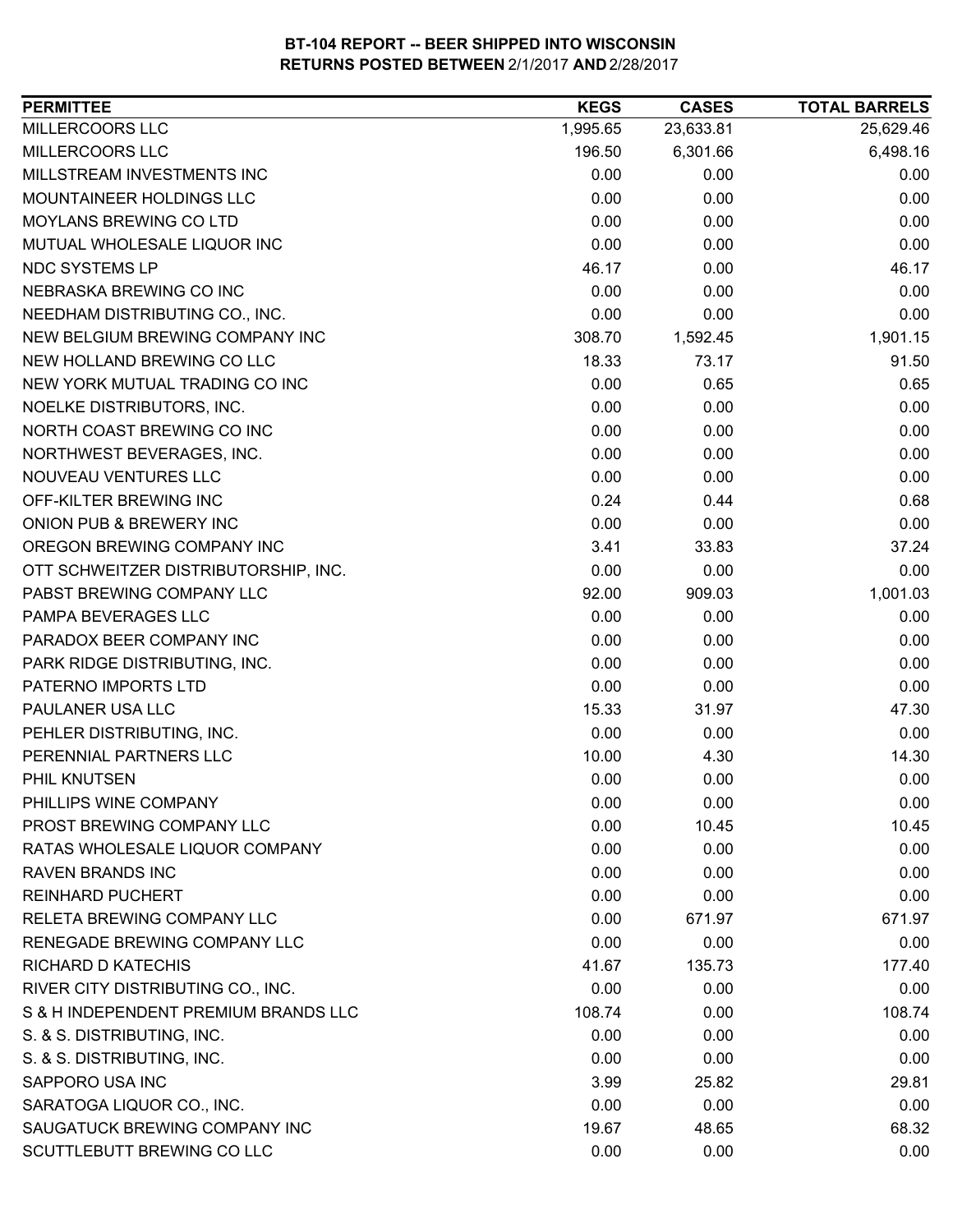| <b>PERMITTEE</b>                     | <b>KEGS</b> | <b>CASES</b> | <b>TOTAL BARRELS</b> |
|--------------------------------------|-------------|--------------|----------------------|
| MILLERCOORS LLC                      | 1,995.65    | 23,633.81    | 25,629.46            |
| MILLERCOORS LLC                      | 196.50      | 6,301.66     | 6,498.16             |
| MILLSTREAM INVESTMENTS INC           | 0.00        | 0.00         | 0.00                 |
| MOUNTAINEER HOLDINGS LLC             | 0.00        | 0.00         | 0.00                 |
| MOYLANS BREWING CO LTD               | 0.00        | 0.00         | 0.00                 |
| MUTUAL WHOLESALE LIQUOR INC          | 0.00        | 0.00         | 0.00                 |
| NDC SYSTEMS LP                       | 46.17       | 0.00         | 46.17                |
| NEBRASKA BREWING CO INC              | 0.00        | 0.00         | 0.00                 |
| NEEDHAM DISTRIBUTING CO., INC.       | 0.00        | 0.00         | 0.00                 |
| NEW BELGIUM BREWING COMPANY INC      | 308.70      | 1,592.45     | 1,901.15             |
| NEW HOLLAND BREWING CO LLC           | 18.33       | 73.17        | 91.50                |
| NEW YORK MUTUAL TRADING CO INC       | 0.00        | 0.65         | 0.65                 |
| NOELKE DISTRIBUTORS, INC.            | 0.00        | 0.00         | 0.00                 |
| NORTH COAST BREWING CO INC           | 0.00        | 0.00         | 0.00                 |
| NORTHWEST BEVERAGES, INC.            | 0.00        | 0.00         | 0.00                 |
| NOUVEAU VENTURES LLC                 | 0.00        | 0.00         | 0.00                 |
| OFF-KILTER BREWING INC               | 0.24        | 0.44         | 0.68                 |
| ONION PUB & BREWERY INC              | 0.00        | 0.00         | 0.00                 |
| OREGON BREWING COMPANY INC           | 3.41        | 33.83        | 37.24                |
| OTT SCHWEITZER DISTRIBUTORSHIP, INC. | 0.00        | 0.00         | 0.00                 |
| PABST BREWING COMPANY LLC            | 92.00       | 909.03       | 1,001.03             |
| PAMPA BEVERAGES LLC                  | 0.00        | 0.00         | 0.00                 |
| PARADOX BEER COMPANY INC             | 0.00        | 0.00         | 0.00                 |
| PARK RIDGE DISTRIBUTING, INC.        | 0.00        | 0.00         | 0.00                 |
| PATERNO IMPORTS LTD                  | 0.00        | 0.00         | 0.00                 |
| PAULANER USA LLC                     | 15.33       | 31.97        | 47.30                |
| PEHLER DISTRIBUTING, INC.            | 0.00        | 0.00         | 0.00                 |
| PERENNIAL PARTNERS LLC               | 10.00       | 4.30         | 14.30                |
| PHIL KNUTSEN                         | 0.00        | 0.00         | 0.00                 |
| PHILLIPS WINE COMPANY                | 0.00        | 0.00         | 0.00                 |
| PROST BREWING COMPANY LLC            | 0.00        | 10.45        | 10.45                |
| RATAS WHOLESALE LIQUOR COMPANY       | 0.00        | 0.00         | 0.00                 |
| <b>RAVEN BRANDS INC</b>              | 0.00        | 0.00         | 0.00                 |
| <b>REINHARD PUCHERT</b>              | 0.00        | 0.00         | 0.00                 |
| RELETA BREWING COMPANY LLC           | 0.00        | 671.97       | 671.97               |
| RENEGADE BREWING COMPANY LLC         | 0.00        | 0.00         | 0.00                 |
| <b>RICHARD D KATECHIS</b>            | 41.67       | 135.73       | 177.40               |
| RIVER CITY DISTRIBUTING CO., INC.    | 0.00        | 0.00         | 0.00                 |
| S & H INDEPENDENT PREMIUM BRANDS LLC | 108.74      | 0.00         | 108.74               |
| S. & S. DISTRIBUTING, INC.           | 0.00        | 0.00         | 0.00                 |
| S. & S. DISTRIBUTING, INC.           | 0.00        | 0.00         | 0.00                 |
| SAPPORO USA INC                      | 3.99        | 25.82        | 29.81                |
| SARATOGA LIQUOR CO., INC.            | 0.00        | 0.00         | 0.00                 |
| SAUGATUCK BREWING COMPANY INC        | 19.67       | 48.65        | 68.32                |
| SCUTTLEBUTT BREWING CO LLC           | 0.00        | 0.00         | 0.00                 |
|                                      |             |              |                      |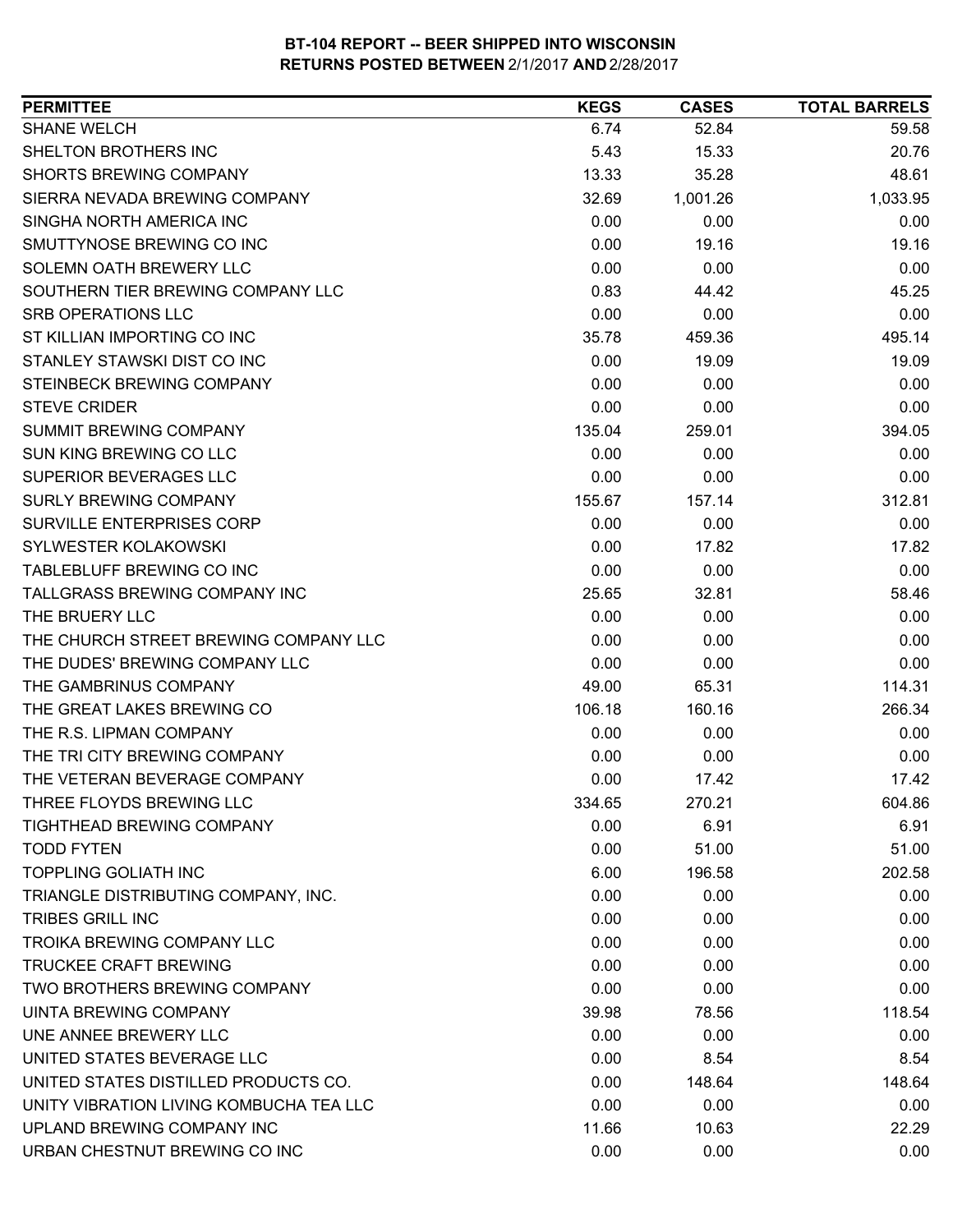| <b>SHANE WELCH</b><br>6.74<br>52.84<br>59.58<br>SHELTON BROTHERS INC<br>5.43<br>15.33<br>20.76<br><b>SHORTS BREWING COMPANY</b><br>13.33<br>35.28<br>48.61<br>SIERRA NEVADA BREWING COMPANY<br>32.69<br>1,001.26<br>1,033.95<br>SINGHA NORTH AMERICA INC<br>0.00<br>0.00<br>0.00<br>SMUTTYNOSE BREWING CO INC<br>0.00<br>19.16<br>19.16<br>SOLEMN OATH BREWERY LLC<br>0.00<br>0.00<br>0.00<br>SOUTHERN TIER BREWING COMPANY LLC<br>0.83<br>44.42<br>45.25<br><b>SRB OPERATIONS LLC</b><br>0.00<br>0.00<br>0.00<br>ST KILLIAN IMPORTING CO INC<br>495.14<br>35.78<br>459.36<br>STANLEY STAWSKI DIST CO INC<br>0.00<br>19.09<br>19.09<br>STEINBECK BREWING COMPANY<br>0.00<br>0.00<br>0.00<br>0.00<br>0.00<br><b>STEVE CRIDER</b><br>0.00<br><b>SUMMIT BREWING COMPANY</b><br>135.04<br>259.01<br>394.05<br><b>SUN KING BREWING CO LLC</b><br>0.00<br>0.00<br>0.00<br><b>SUPERIOR BEVERAGES LLC</b><br>0.00<br>0.00<br>0.00<br><b>SURLY BREWING COMPANY</b><br>155.67<br>312.81<br>157.14<br><b>SURVILLE ENTERPRISES CORP</b><br>0.00<br>0.00<br>0.00<br>SYLWESTER KOLAKOWSKI<br>0.00<br>17.82<br>17.82<br>TABLEBLUFF BREWING CO INC<br>0.00<br>0.00<br>0.00<br>TALLGRASS BREWING COMPANY INC<br>58.46<br>25.65<br>32.81<br>THE BRUERY LLC<br>0.00<br>0.00<br>0.00<br>THE CHURCH STREET BREWING COMPANY LLC<br>0.00<br>0.00<br>0.00<br>THE DUDES' BREWING COMPANY LLC<br>0.00<br>0.00<br>0.00<br>THE GAMBRINUS COMPANY<br>114.31<br>49.00<br>65.31<br>THE GREAT LAKES BREWING CO<br>266.34<br>106.18<br>160.16<br>THE R.S. LIPMAN COMPANY<br>0.00<br>0.00<br>0.00<br>THE TRI CITY BREWING COMPANY<br>0.00<br>0.00<br>0.00<br>THE VETERAN BEVERAGE COMPANY<br>0.00<br>17.42<br>17.42<br>THREE FLOYDS BREWING LLC<br>270.21<br>604.86<br>334.65<br>6.91<br>6.91<br><b>TIGHTHEAD BREWING COMPANY</b><br>0.00<br>51.00<br><b>TODD FYTEN</b><br>0.00<br>51.00<br><b>TOPPLING GOLIATH INC</b><br>6.00<br>196.58<br>202.58<br>TRIANGLE DISTRIBUTING COMPANY, INC.<br>0.00<br>0.00<br>0.00<br><b>TRIBES GRILL INC</b><br>0.00<br>0.00<br>0.00<br><b>TROIKA BREWING COMPANY LLC</b><br>0.00<br>0.00<br>0.00<br><b>TRUCKEE CRAFT BREWING</b><br>0.00<br>0.00<br>0.00<br>TWO BROTHERS BREWING COMPANY<br>0.00<br>0.00<br>0.00<br>UINTA BREWING COMPANY<br>39.98<br>78.56<br>118.54<br>UNE ANNEE BREWERY LLC<br>0.00<br>0.00<br>0.00<br>UNITED STATES BEVERAGE LLC<br>0.00<br>8.54<br>8.54<br>UNITED STATES DISTILLED PRODUCTS CO.<br>0.00<br>148.64<br>148.64<br>0.00<br>UNITY VIBRATION LIVING KOMBUCHA TEA LLC<br>0.00<br>0.00<br>UPLAND BREWING COMPANY INC<br>11.66<br>10.63<br>22.29<br>URBAN CHESTNUT BREWING CO INC<br>0.00<br>0.00<br>0.00 | <b>PERMITTEE</b> | <b>KEGS</b> | <b>CASES</b> | <b>TOTAL BARRELS</b> |
|---------------------------------------------------------------------------------------------------------------------------------------------------------------------------------------------------------------------------------------------------------------------------------------------------------------------------------------------------------------------------------------------------------------------------------------------------------------------------------------------------------------------------------------------------------------------------------------------------------------------------------------------------------------------------------------------------------------------------------------------------------------------------------------------------------------------------------------------------------------------------------------------------------------------------------------------------------------------------------------------------------------------------------------------------------------------------------------------------------------------------------------------------------------------------------------------------------------------------------------------------------------------------------------------------------------------------------------------------------------------------------------------------------------------------------------------------------------------------------------------------------------------------------------------------------------------------------------------------------------------------------------------------------------------------------------------------------------------------------------------------------------------------------------------------------------------------------------------------------------------------------------------------------------------------------------------------------------------------------------------------------------------------------------------------------------------------------------------------------------------------------------------------------------------------------------------------------------------------------------------------------------------------------------------------------------------------------------------------------------------------------------------------------------------------------------------------------------------------------------------------------------------------------------------------------------------------------------------------------------------------------------|------------------|-------------|--------------|----------------------|
|                                                                                                                                                                                                                                                                                                                                                                                                                                                                                                                                                                                                                                                                                                                                                                                                                                                                                                                                                                                                                                                                                                                                                                                                                                                                                                                                                                                                                                                                                                                                                                                                                                                                                                                                                                                                                                                                                                                                                                                                                                                                                                                                                                                                                                                                                                                                                                                                                                                                                                                                                                                                                                       |                  |             |              |                      |
|                                                                                                                                                                                                                                                                                                                                                                                                                                                                                                                                                                                                                                                                                                                                                                                                                                                                                                                                                                                                                                                                                                                                                                                                                                                                                                                                                                                                                                                                                                                                                                                                                                                                                                                                                                                                                                                                                                                                                                                                                                                                                                                                                                                                                                                                                                                                                                                                                                                                                                                                                                                                                                       |                  |             |              |                      |
|                                                                                                                                                                                                                                                                                                                                                                                                                                                                                                                                                                                                                                                                                                                                                                                                                                                                                                                                                                                                                                                                                                                                                                                                                                                                                                                                                                                                                                                                                                                                                                                                                                                                                                                                                                                                                                                                                                                                                                                                                                                                                                                                                                                                                                                                                                                                                                                                                                                                                                                                                                                                                                       |                  |             |              |                      |
|                                                                                                                                                                                                                                                                                                                                                                                                                                                                                                                                                                                                                                                                                                                                                                                                                                                                                                                                                                                                                                                                                                                                                                                                                                                                                                                                                                                                                                                                                                                                                                                                                                                                                                                                                                                                                                                                                                                                                                                                                                                                                                                                                                                                                                                                                                                                                                                                                                                                                                                                                                                                                                       |                  |             |              |                      |
|                                                                                                                                                                                                                                                                                                                                                                                                                                                                                                                                                                                                                                                                                                                                                                                                                                                                                                                                                                                                                                                                                                                                                                                                                                                                                                                                                                                                                                                                                                                                                                                                                                                                                                                                                                                                                                                                                                                                                                                                                                                                                                                                                                                                                                                                                                                                                                                                                                                                                                                                                                                                                                       |                  |             |              |                      |
|                                                                                                                                                                                                                                                                                                                                                                                                                                                                                                                                                                                                                                                                                                                                                                                                                                                                                                                                                                                                                                                                                                                                                                                                                                                                                                                                                                                                                                                                                                                                                                                                                                                                                                                                                                                                                                                                                                                                                                                                                                                                                                                                                                                                                                                                                                                                                                                                                                                                                                                                                                                                                                       |                  |             |              |                      |
|                                                                                                                                                                                                                                                                                                                                                                                                                                                                                                                                                                                                                                                                                                                                                                                                                                                                                                                                                                                                                                                                                                                                                                                                                                                                                                                                                                                                                                                                                                                                                                                                                                                                                                                                                                                                                                                                                                                                                                                                                                                                                                                                                                                                                                                                                                                                                                                                                                                                                                                                                                                                                                       |                  |             |              |                      |
|                                                                                                                                                                                                                                                                                                                                                                                                                                                                                                                                                                                                                                                                                                                                                                                                                                                                                                                                                                                                                                                                                                                                                                                                                                                                                                                                                                                                                                                                                                                                                                                                                                                                                                                                                                                                                                                                                                                                                                                                                                                                                                                                                                                                                                                                                                                                                                                                                                                                                                                                                                                                                                       |                  |             |              |                      |
|                                                                                                                                                                                                                                                                                                                                                                                                                                                                                                                                                                                                                                                                                                                                                                                                                                                                                                                                                                                                                                                                                                                                                                                                                                                                                                                                                                                                                                                                                                                                                                                                                                                                                                                                                                                                                                                                                                                                                                                                                                                                                                                                                                                                                                                                                                                                                                                                                                                                                                                                                                                                                                       |                  |             |              |                      |
|                                                                                                                                                                                                                                                                                                                                                                                                                                                                                                                                                                                                                                                                                                                                                                                                                                                                                                                                                                                                                                                                                                                                                                                                                                                                                                                                                                                                                                                                                                                                                                                                                                                                                                                                                                                                                                                                                                                                                                                                                                                                                                                                                                                                                                                                                                                                                                                                                                                                                                                                                                                                                                       |                  |             |              |                      |
|                                                                                                                                                                                                                                                                                                                                                                                                                                                                                                                                                                                                                                                                                                                                                                                                                                                                                                                                                                                                                                                                                                                                                                                                                                                                                                                                                                                                                                                                                                                                                                                                                                                                                                                                                                                                                                                                                                                                                                                                                                                                                                                                                                                                                                                                                                                                                                                                                                                                                                                                                                                                                                       |                  |             |              |                      |
|                                                                                                                                                                                                                                                                                                                                                                                                                                                                                                                                                                                                                                                                                                                                                                                                                                                                                                                                                                                                                                                                                                                                                                                                                                                                                                                                                                                                                                                                                                                                                                                                                                                                                                                                                                                                                                                                                                                                                                                                                                                                                                                                                                                                                                                                                                                                                                                                                                                                                                                                                                                                                                       |                  |             |              |                      |
|                                                                                                                                                                                                                                                                                                                                                                                                                                                                                                                                                                                                                                                                                                                                                                                                                                                                                                                                                                                                                                                                                                                                                                                                                                                                                                                                                                                                                                                                                                                                                                                                                                                                                                                                                                                                                                                                                                                                                                                                                                                                                                                                                                                                                                                                                                                                                                                                                                                                                                                                                                                                                                       |                  |             |              |                      |
|                                                                                                                                                                                                                                                                                                                                                                                                                                                                                                                                                                                                                                                                                                                                                                                                                                                                                                                                                                                                                                                                                                                                                                                                                                                                                                                                                                                                                                                                                                                                                                                                                                                                                                                                                                                                                                                                                                                                                                                                                                                                                                                                                                                                                                                                                                                                                                                                                                                                                                                                                                                                                                       |                  |             |              |                      |
|                                                                                                                                                                                                                                                                                                                                                                                                                                                                                                                                                                                                                                                                                                                                                                                                                                                                                                                                                                                                                                                                                                                                                                                                                                                                                                                                                                                                                                                                                                                                                                                                                                                                                                                                                                                                                                                                                                                                                                                                                                                                                                                                                                                                                                                                                                                                                                                                                                                                                                                                                                                                                                       |                  |             |              |                      |
|                                                                                                                                                                                                                                                                                                                                                                                                                                                                                                                                                                                                                                                                                                                                                                                                                                                                                                                                                                                                                                                                                                                                                                                                                                                                                                                                                                                                                                                                                                                                                                                                                                                                                                                                                                                                                                                                                                                                                                                                                                                                                                                                                                                                                                                                                                                                                                                                                                                                                                                                                                                                                                       |                  |             |              |                      |
|                                                                                                                                                                                                                                                                                                                                                                                                                                                                                                                                                                                                                                                                                                                                                                                                                                                                                                                                                                                                                                                                                                                                                                                                                                                                                                                                                                                                                                                                                                                                                                                                                                                                                                                                                                                                                                                                                                                                                                                                                                                                                                                                                                                                                                                                                                                                                                                                                                                                                                                                                                                                                                       |                  |             |              |                      |
|                                                                                                                                                                                                                                                                                                                                                                                                                                                                                                                                                                                                                                                                                                                                                                                                                                                                                                                                                                                                                                                                                                                                                                                                                                                                                                                                                                                                                                                                                                                                                                                                                                                                                                                                                                                                                                                                                                                                                                                                                                                                                                                                                                                                                                                                                                                                                                                                                                                                                                                                                                                                                                       |                  |             |              |                      |
|                                                                                                                                                                                                                                                                                                                                                                                                                                                                                                                                                                                                                                                                                                                                                                                                                                                                                                                                                                                                                                                                                                                                                                                                                                                                                                                                                                                                                                                                                                                                                                                                                                                                                                                                                                                                                                                                                                                                                                                                                                                                                                                                                                                                                                                                                                                                                                                                                                                                                                                                                                                                                                       |                  |             |              |                      |
|                                                                                                                                                                                                                                                                                                                                                                                                                                                                                                                                                                                                                                                                                                                                                                                                                                                                                                                                                                                                                                                                                                                                                                                                                                                                                                                                                                                                                                                                                                                                                                                                                                                                                                                                                                                                                                                                                                                                                                                                                                                                                                                                                                                                                                                                                                                                                                                                                                                                                                                                                                                                                                       |                  |             |              |                      |
|                                                                                                                                                                                                                                                                                                                                                                                                                                                                                                                                                                                                                                                                                                                                                                                                                                                                                                                                                                                                                                                                                                                                                                                                                                                                                                                                                                                                                                                                                                                                                                                                                                                                                                                                                                                                                                                                                                                                                                                                                                                                                                                                                                                                                                                                                                                                                                                                                                                                                                                                                                                                                                       |                  |             |              |                      |
|                                                                                                                                                                                                                                                                                                                                                                                                                                                                                                                                                                                                                                                                                                                                                                                                                                                                                                                                                                                                                                                                                                                                                                                                                                                                                                                                                                                                                                                                                                                                                                                                                                                                                                                                                                                                                                                                                                                                                                                                                                                                                                                                                                                                                                                                                                                                                                                                                                                                                                                                                                                                                                       |                  |             |              |                      |
|                                                                                                                                                                                                                                                                                                                                                                                                                                                                                                                                                                                                                                                                                                                                                                                                                                                                                                                                                                                                                                                                                                                                                                                                                                                                                                                                                                                                                                                                                                                                                                                                                                                                                                                                                                                                                                                                                                                                                                                                                                                                                                                                                                                                                                                                                                                                                                                                                                                                                                                                                                                                                                       |                  |             |              |                      |
|                                                                                                                                                                                                                                                                                                                                                                                                                                                                                                                                                                                                                                                                                                                                                                                                                                                                                                                                                                                                                                                                                                                                                                                                                                                                                                                                                                                                                                                                                                                                                                                                                                                                                                                                                                                                                                                                                                                                                                                                                                                                                                                                                                                                                                                                                                                                                                                                                                                                                                                                                                                                                                       |                  |             |              |                      |
|                                                                                                                                                                                                                                                                                                                                                                                                                                                                                                                                                                                                                                                                                                                                                                                                                                                                                                                                                                                                                                                                                                                                                                                                                                                                                                                                                                                                                                                                                                                                                                                                                                                                                                                                                                                                                                                                                                                                                                                                                                                                                                                                                                                                                                                                                                                                                                                                                                                                                                                                                                                                                                       |                  |             |              |                      |
|                                                                                                                                                                                                                                                                                                                                                                                                                                                                                                                                                                                                                                                                                                                                                                                                                                                                                                                                                                                                                                                                                                                                                                                                                                                                                                                                                                                                                                                                                                                                                                                                                                                                                                                                                                                                                                                                                                                                                                                                                                                                                                                                                                                                                                                                                                                                                                                                                                                                                                                                                                                                                                       |                  |             |              |                      |
|                                                                                                                                                                                                                                                                                                                                                                                                                                                                                                                                                                                                                                                                                                                                                                                                                                                                                                                                                                                                                                                                                                                                                                                                                                                                                                                                                                                                                                                                                                                                                                                                                                                                                                                                                                                                                                                                                                                                                                                                                                                                                                                                                                                                                                                                                                                                                                                                                                                                                                                                                                                                                                       |                  |             |              |                      |
|                                                                                                                                                                                                                                                                                                                                                                                                                                                                                                                                                                                                                                                                                                                                                                                                                                                                                                                                                                                                                                                                                                                                                                                                                                                                                                                                                                                                                                                                                                                                                                                                                                                                                                                                                                                                                                                                                                                                                                                                                                                                                                                                                                                                                                                                                                                                                                                                                                                                                                                                                                                                                                       |                  |             |              |                      |
|                                                                                                                                                                                                                                                                                                                                                                                                                                                                                                                                                                                                                                                                                                                                                                                                                                                                                                                                                                                                                                                                                                                                                                                                                                                                                                                                                                                                                                                                                                                                                                                                                                                                                                                                                                                                                                                                                                                                                                                                                                                                                                                                                                                                                                                                                                                                                                                                                                                                                                                                                                                                                                       |                  |             |              |                      |
|                                                                                                                                                                                                                                                                                                                                                                                                                                                                                                                                                                                                                                                                                                                                                                                                                                                                                                                                                                                                                                                                                                                                                                                                                                                                                                                                                                                                                                                                                                                                                                                                                                                                                                                                                                                                                                                                                                                                                                                                                                                                                                                                                                                                                                                                                                                                                                                                                                                                                                                                                                                                                                       |                  |             |              |                      |
|                                                                                                                                                                                                                                                                                                                                                                                                                                                                                                                                                                                                                                                                                                                                                                                                                                                                                                                                                                                                                                                                                                                                                                                                                                                                                                                                                                                                                                                                                                                                                                                                                                                                                                                                                                                                                                                                                                                                                                                                                                                                                                                                                                                                                                                                                                                                                                                                                                                                                                                                                                                                                                       |                  |             |              |                      |
|                                                                                                                                                                                                                                                                                                                                                                                                                                                                                                                                                                                                                                                                                                                                                                                                                                                                                                                                                                                                                                                                                                                                                                                                                                                                                                                                                                                                                                                                                                                                                                                                                                                                                                                                                                                                                                                                                                                                                                                                                                                                                                                                                                                                                                                                                                                                                                                                                                                                                                                                                                                                                                       |                  |             |              |                      |
|                                                                                                                                                                                                                                                                                                                                                                                                                                                                                                                                                                                                                                                                                                                                                                                                                                                                                                                                                                                                                                                                                                                                                                                                                                                                                                                                                                                                                                                                                                                                                                                                                                                                                                                                                                                                                                                                                                                                                                                                                                                                                                                                                                                                                                                                                                                                                                                                                                                                                                                                                                                                                                       |                  |             |              |                      |
|                                                                                                                                                                                                                                                                                                                                                                                                                                                                                                                                                                                                                                                                                                                                                                                                                                                                                                                                                                                                                                                                                                                                                                                                                                                                                                                                                                                                                                                                                                                                                                                                                                                                                                                                                                                                                                                                                                                                                                                                                                                                                                                                                                                                                                                                                                                                                                                                                                                                                                                                                                                                                                       |                  |             |              |                      |
|                                                                                                                                                                                                                                                                                                                                                                                                                                                                                                                                                                                                                                                                                                                                                                                                                                                                                                                                                                                                                                                                                                                                                                                                                                                                                                                                                                                                                                                                                                                                                                                                                                                                                                                                                                                                                                                                                                                                                                                                                                                                                                                                                                                                                                                                                                                                                                                                                                                                                                                                                                                                                                       |                  |             |              |                      |
|                                                                                                                                                                                                                                                                                                                                                                                                                                                                                                                                                                                                                                                                                                                                                                                                                                                                                                                                                                                                                                                                                                                                                                                                                                                                                                                                                                                                                                                                                                                                                                                                                                                                                                                                                                                                                                                                                                                                                                                                                                                                                                                                                                                                                                                                                                                                                                                                                                                                                                                                                                                                                                       |                  |             |              |                      |
|                                                                                                                                                                                                                                                                                                                                                                                                                                                                                                                                                                                                                                                                                                                                                                                                                                                                                                                                                                                                                                                                                                                                                                                                                                                                                                                                                                                                                                                                                                                                                                                                                                                                                                                                                                                                                                                                                                                                                                                                                                                                                                                                                                                                                                                                                                                                                                                                                                                                                                                                                                                                                                       |                  |             |              |                      |
|                                                                                                                                                                                                                                                                                                                                                                                                                                                                                                                                                                                                                                                                                                                                                                                                                                                                                                                                                                                                                                                                                                                                                                                                                                                                                                                                                                                                                                                                                                                                                                                                                                                                                                                                                                                                                                                                                                                                                                                                                                                                                                                                                                                                                                                                                                                                                                                                                                                                                                                                                                                                                                       |                  |             |              |                      |
|                                                                                                                                                                                                                                                                                                                                                                                                                                                                                                                                                                                                                                                                                                                                                                                                                                                                                                                                                                                                                                                                                                                                                                                                                                                                                                                                                                                                                                                                                                                                                                                                                                                                                                                                                                                                                                                                                                                                                                                                                                                                                                                                                                                                                                                                                                                                                                                                                                                                                                                                                                                                                                       |                  |             |              |                      |
|                                                                                                                                                                                                                                                                                                                                                                                                                                                                                                                                                                                                                                                                                                                                                                                                                                                                                                                                                                                                                                                                                                                                                                                                                                                                                                                                                                                                                                                                                                                                                                                                                                                                                                                                                                                                                                                                                                                                                                                                                                                                                                                                                                                                                                                                                                                                                                                                                                                                                                                                                                                                                                       |                  |             |              |                      |
|                                                                                                                                                                                                                                                                                                                                                                                                                                                                                                                                                                                                                                                                                                                                                                                                                                                                                                                                                                                                                                                                                                                                                                                                                                                                                                                                                                                                                                                                                                                                                                                                                                                                                                                                                                                                                                                                                                                                                                                                                                                                                                                                                                                                                                                                                                                                                                                                                                                                                                                                                                                                                                       |                  |             |              |                      |
|                                                                                                                                                                                                                                                                                                                                                                                                                                                                                                                                                                                                                                                                                                                                                                                                                                                                                                                                                                                                                                                                                                                                                                                                                                                                                                                                                                                                                                                                                                                                                                                                                                                                                                                                                                                                                                                                                                                                                                                                                                                                                                                                                                                                                                                                                                                                                                                                                                                                                                                                                                                                                                       |                  |             |              |                      |
|                                                                                                                                                                                                                                                                                                                                                                                                                                                                                                                                                                                                                                                                                                                                                                                                                                                                                                                                                                                                                                                                                                                                                                                                                                                                                                                                                                                                                                                                                                                                                                                                                                                                                                                                                                                                                                                                                                                                                                                                                                                                                                                                                                                                                                                                                                                                                                                                                                                                                                                                                                                                                                       |                  |             |              |                      |
|                                                                                                                                                                                                                                                                                                                                                                                                                                                                                                                                                                                                                                                                                                                                                                                                                                                                                                                                                                                                                                                                                                                                                                                                                                                                                                                                                                                                                                                                                                                                                                                                                                                                                                                                                                                                                                                                                                                                                                                                                                                                                                                                                                                                                                                                                                                                                                                                                                                                                                                                                                                                                                       |                  |             |              |                      |
|                                                                                                                                                                                                                                                                                                                                                                                                                                                                                                                                                                                                                                                                                                                                                                                                                                                                                                                                                                                                                                                                                                                                                                                                                                                                                                                                                                                                                                                                                                                                                                                                                                                                                                                                                                                                                                                                                                                                                                                                                                                                                                                                                                                                                                                                                                                                                                                                                                                                                                                                                                                                                                       |                  |             |              |                      |